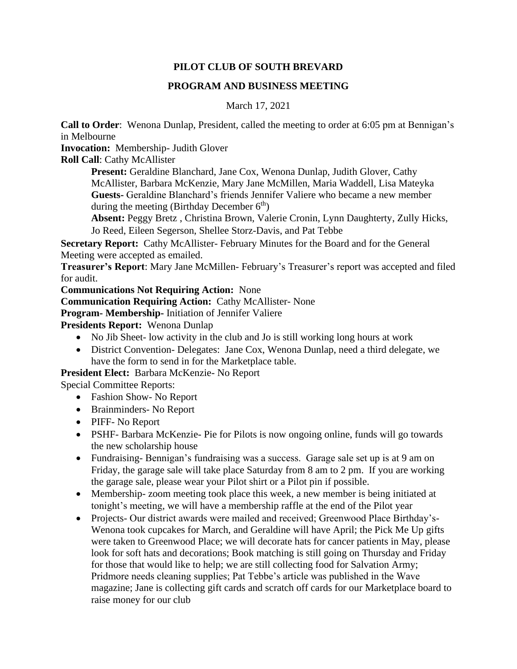## **PILOT CLUB OF SOUTH BREVARD**

## **PROGRAM AND BUSINESS MEETING**

## March 17, 2021

**Call to Order**: Wenona Dunlap, President, called the meeting to order at 6:05 pm at Bennigan's in Melbourne

**Invocation:** Membership- Judith Glover

**Roll Call**: Cathy McAllister

**Present:** Geraldine Blanchard, Jane Cox, Wenona Dunlap, Judith Glover, Cathy McAllister, Barbara McKenzie, Mary Jane McMillen, Maria Waddell, Lisa Mateyka **Guests-** Geraldine Blanchard's friends Jennifer Valiere who became a new member during the meeting (Birthday December  $6<sup>th</sup>$ )

**Absent:** Peggy Bretz , Christina Brown, Valerie Cronin, Lynn Daughterty, Zully Hicks, Jo Reed, Eileen Segerson, Shellee Storz-Davis, and Pat Tebbe

**Secretary Report:** Cathy McAllister- February Minutes for the Board and for the General Meeting were accepted as emailed.

**Treasurer's Report**: Mary Jane McMillen- February's Treasurer's report was accepted and filed for audit.

**Communications Not Requiring Action:** None

**Communication Requiring Action:** Cathy McAllister- None

**Program- Membership-** Initiation of Jennifer Valiere

**Presidents Report:** Wenona Dunlap

- No Jib Sheet- low activity in the club and Jo is still working long hours at work
- District Convention-Delegates: Jane Cox, Wenona Dunlap, need a third delegate, we have the form to send in for the Marketplace table.

**President Elect:** Barbara McKenzie- No Report

Special Committee Reports:

- Fashion Show- No Report
- Brainminders- No Report
- PIFF- No Report
- PSHF- Barbara McKenzie- Pie for Pilots is now ongoing online, funds will go towards the new scholarship house
- Fundraising-Bennigan's fundraising was a success. Garage sale set up is at 9 am on Friday, the garage sale will take place Saturday from 8 am to 2 pm. If you are working the garage sale, please wear your Pilot shirt or a Pilot pin if possible.
- Membership- zoom meeting took place this week, a new member is being initiated at tonight's meeting, we will have a membership raffle at the end of the Pilot year
- Projects- Our district awards were mailed and received; Greenwood Place Birthday's-Wenona took cupcakes for March, and Geraldine will have April; the Pick Me Up gifts were taken to Greenwood Place; we will decorate hats for cancer patients in May, please look for soft hats and decorations; Book matching is still going on Thursday and Friday for those that would like to help; we are still collecting food for Salvation Army; Pridmore needs cleaning supplies; Pat Tebbe's article was published in the Wave magazine; Jane is collecting gift cards and scratch off cards for our Marketplace board to raise money for our club